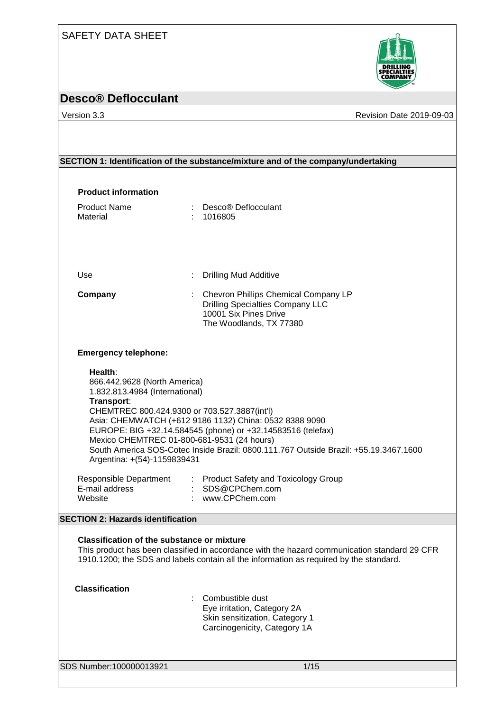## SAFETY DATA SHEET



# **Desco® Deflocculant**

Version 3.3 **Version 3.3** Revision Date 2019-09-03

|                                                                                                                                                                                                                      | SECTION 1: Identification of the substance/mixture and of the company/undertaking                                                                                                                             |
|----------------------------------------------------------------------------------------------------------------------------------------------------------------------------------------------------------------------|---------------------------------------------------------------------------------------------------------------------------------------------------------------------------------------------------------------|
|                                                                                                                                                                                                                      |                                                                                                                                                                                                               |
| <b>Product information</b>                                                                                                                                                                                           |                                                                                                                                                                                                               |
| <b>Product Name</b><br>Material                                                                                                                                                                                      | Desco® Deflocculant<br>1016805                                                                                                                                                                                |
| Use                                                                                                                                                                                                                  | <b>Drilling Mud Additive</b>                                                                                                                                                                                  |
| Company                                                                                                                                                                                                              | : Chevron Phillips Chemical Company LP<br><b>Drilling Specialties Company LLC</b><br>10001 Six Pines Drive<br>The Woodlands, TX 77380                                                                         |
| <b>Emergency telephone:</b>                                                                                                                                                                                          |                                                                                                                                                                                                               |
| Health:<br>866.442.9628 (North America)<br>1.832.813.4984 (International)<br>Transport:<br>CHEMTREC 800.424.9300 or 703.527.3887(int'l)<br>Mexico CHEMTREC 01-800-681-9531 (24 hours)<br>Argentina: +(54)-1159839431 | Asia: CHEMWATCH (+612 9186 1132) China: 0532 8388 9090<br>EUROPE: BIG +32.14.584545 (phone) or +32.14583516 (telefax)<br>South America SOS-Cotec Inside Brazil: 0800.111.767 Outside Brazil: +55.19.3467.1600 |
| Responsible Department<br>E-mail address<br>Website                                                                                                                                                                  | : Product Safety and Toxicology Group<br>: SDS@CPChem.com<br>: www.CPChem.com                                                                                                                                 |
| <b>SECTION 2: Hazards identification</b>                                                                                                                                                                             |                                                                                                                                                                                                               |
| <b>Classification of the substance or mixture</b>                                                                                                                                                                    | This product has been classified in accordance with the hazard communication standard 29 CFR<br>1910.1200; the SDS and labels contain all the information as required by the standard.                        |
| <b>Classification</b>                                                                                                                                                                                                | Combustible dust<br>Eye irritation, Category 2A<br>Skin sensitization, Category 1<br>Carcinogenicity, Category 1A                                                                                             |
| SDS Number:100000013921                                                                                                                                                                                              | $1/15$                                                                                                                                                                                                        |
|                                                                                                                                                                                                                      |                                                                                                                                                                                                               |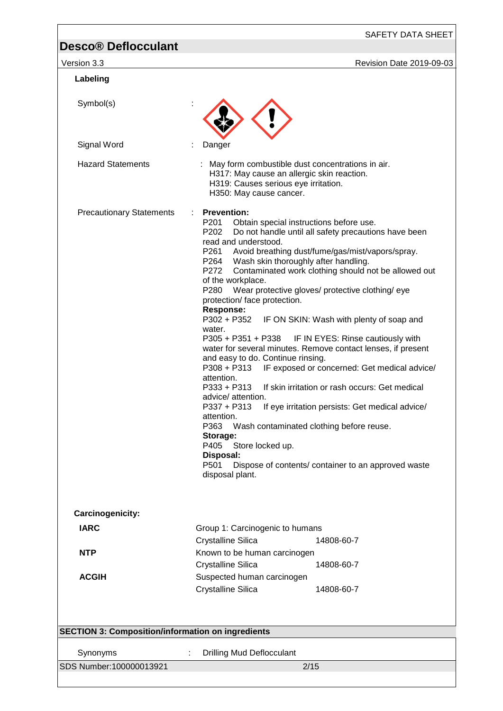SAFETY DATA SHEET

| Version 3.3                                              | Revision Date 2019-09-03                                                                                                                                                                                                                                                                                                                                                                                                                                                                                                                                                                                                                                                                                                                                                                                                                                                                                                                                                                                                                                                                                                                                                           |
|----------------------------------------------------------|------------------------------------------------------------------------------------------------------------------------------------------------------------------------------------------------------------------------------------------------------------------------------------------------------------------------------------------------------------------------------------------------------------------------------------------------------------------------------------------------------------------------------------------------------------------------------------------------------------------------------------------------------------------------------------------------------------------------------------------------------------------------------------------------------------------------------------------------------------------------------------------------------------------------------------------------------------------------------------------------------------------------------------------------------------------------------------------------------------------------------------------------------------------------------------|
| Labeling                                                 |                                                                                                                                                                                                                                                                                                                                                                                                                                                                                                                                                                                                                                                                                                                                                                                                                                                                                                                                                                                                                                                                                                                                                                                    |
| Symbol(s)                                                |                                                                                                                                                                                                                                                                                                                                                                                                                                                                                                                                                                                                                                                                                                                                                                                                                                                                                                                                                                                                                                                                                                                                                                                    |
| Signal Word                                              | Danger                                                                                                                                                                                                                                                                                                                                                                                                                                                                                                                                                                                                                                                                                                                                                                                                                                                                                                                                                                                                                                                                                                                                                                             |
| <b>Hazard Statements</b>                                 | : May form combustible dust concentrations in air.<br>H317: May cause an allergic skin reaction.<br>H319: Causes serious eye irritation.<br>H350: May cause cancer.                                                                                                                                                                                                                                                                                                                                                                                                                                                                                                                                                                                                                                                                                                                                                                                                                                                                                                                                                                                                                |
| <b>Precautionary Statements</b>                          | <b>Prevention:</b><br>÷<br>Obtain special instructions before use.<br>P201<br>P <sub>202</sub><br>Do not handle until all safety precautions have been<br>read and understood.<br>Avoid breathing dust/fume/gas/mist/vapors/spray.<br>P261<br>P264<br>Wash skin thoroughly after handling.<br>Contaminated work clothing should not be allowed out<br>P272<br>of the workplace.<br>Wear protective gloves/ protective clothing/ eye<br>P280<br>protection/ face protection.<br><b>Response:</b><br>P302 + P352<br>IF ON SKIN: Wash with plenty of soap and<br>water.<br>IF IN EYES: Rinse cautiously with<br>P305 + P351 + P338<br>water for several minutes. Remove contact lenses, if present<br>and easy to do. Continue rinsing.<br>P308 + P313<br>IF exposed or concerned: Get medical advice/<br>attention.<br>$P333 + P313$<br>If skin irritation or rash occurs: Get medical<br>advice/ attention.<br>P337 + P313<br>If eye irritation persists: Get medical advice/<br>attention.<br>P363<br>Wash contaminated clothing before reuse.<br>Storage:<br>P405 Store locked up.<br>Disposal:<br>P501<br>Dispose of contents/ container to an approved waste<br>disposal plant. |
| Carcinogenicity:                                         |                                                                                                                                                                                                                                                                                                                                                                                                                                                                                                                                                                                                                                                                                                                                                                                                                                                                                                                                                                                                                                                                                                                                                                                    |
| <b>IARC</b>                                              | Group 1: Carcinogenic to humans<br><b>Crystalline Silica</b><br>14808-60-7                                                                                                                                                                                                                                                                                                                                                                                                                                                                                                                                                                                                                                                                                                                                                                                                                                                                                                                                                                                                                                                                                                         |
| <b>NTP</b>                                               | Known to be human carcinogen<br><b>Crystalline Silica</b><br>14808-60-7                                                                                                                                                                                                                                                                                                                                                                                                                                                                                                                                                                                                                                                                                                                                                                                                                                                                                                                                                                                                                                                                                                            |
| <b>ACGIH</b>                                             | Suspected human carcinogen<br><b>Crystalline Silica</b><br>14808-60-7                                                                                                                                                                                                                                                                                                                                                                                                                                                                                                                                                                                                                                                                                                                                                                                                                                                                                                                                                                                                                                                                                                              |
| <b>SECTION 3: Composition/information on ingredients</b> |                                                                                                                                                                                                                                                                                                                                                                                                                                                                                                                                                                                                                                                                                                                                                                                                                                                                                                                                                                                                                                                                                                                                                                                    |
| Synonyms                                                 | <b>Drilling Mud Deflocculant</b><br>÷                                                                                                                                                                                                                                                                                                                                                                                                                                                                                                                                                                                                                                                                                                                                                                                                                                                                                                                                                                                                                                                                                                                                              |
| SDS Number:100000013921                                  | 2/15                                                                                                                                                                                                                                                                                                                                                                                                                                                                                                                                                                                                                                                                                                                                                                                                                                                                                                                                                                                                                                                                                                                                                                               |
|                                                          |                                                                                                                                                                                                                                                                                                                                                                                                                                                                                                                                                                                                                                                                                                                                                                                                                                                                                                                                                                                                                                                                                                                                                                                    |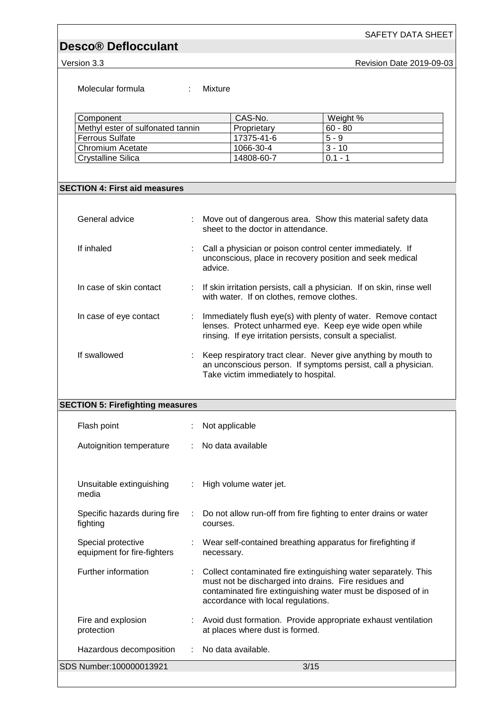Version 3.3 **Version 3.3** Revision Date 2019-09-03

SAFETY DATA SHEET

Molecular formula : Mixture

| Component                         | CAS-No.     | Weight %  |  |
|-----------------------------------|-------------|-----------|--|
| Methyl ester of sulfonated tannin | Proprietary | $60 - 80$ |  |
| Ferrous Sulfate                   | 17375-41-6  | $5 - 9$   |  |
| Chromium Acetate                  | 1066-30-4   | $3 - 10$  |  |
| Crystalline Silica                | 14808-60-7  | $01 - 1$  |  |

### **SECTION 4: First aid measures**

| General advice          | Move out of dangerous area. Show this material safety data<br>sheet to the doctor in attendance.                                                                                      |
|-------------------------|---------------------------------------------------------------------------------------------------------------------------------------------------------------------------------------|
| If inhaled              | Call a physician or poison control center immediately. If<br>unconscious, place in recovery position and seek medical<br>advice.                                                      |
| In case of skin contact | : If skin irritation persists, call a physician. If on skin, rinse well<br>with water. If on clothes, remove clothes.                                                                 |
| In case of eye contact  | Immediately flush eye(s) with plenty of water. Remove contact<br>lenses. Protect unharmed eye. Keep eye wide open while<br>rinsing. If eye irritation persists, consult a specialist. |
| If swallowed            | Keep respiratory tract clear. Never give anything by mouth to<br>an unconscious person. If symptoms persist, call a physician.<br>Take victim immediately to hospital.                |

### **SECTION 5: Firefighting measures**

| Flash point                                       |   | Not applicable                                                                                                                                                                                                                |
|---------------------------------------------------|---|-------------------------------------------------------------------------------------------------------------------------------------------------------------------------------------------------------------------------------|
| Autoignition temperature                          |   | $\therefore$ No data available                                                                                                                                                                                                |
|                                                   |   |                                                                                                                                                                                                                               |
| Unsuitable extinguishing<br>media                 |   | $\therefore$ High volume water jet.                                                                                                                                                                                           |
| Specific hazards during fire<br>fighting          | ÷ | Do not allow run-off from fire fighting to enter drains or water<br>courses.                                                                                                                                                  |
| Special protective<br>equipment for fire-fighters |   | : Wear self-contained breathing apparatus for firefighting if<br>necessary.                                                                                                                                                   |
| Further information                               |   | Collect contaminated fire extinguishing water separately. This<br>must not be discharged into drains. Fire residues and<br>contaminated fire extinguishing water must be disposed of in<br>accordance with local regulations. |
| Fire and explosion<br>protection                  |   | Avoid dust formation. Provide appropriate exhaust ventilation<br>at places where dust is formed.                                                                                                                              |
| Hazardous decomposition                           |   | : No data available.                                                                                                                                                                                                          |
| SDS Number:100000013921                           |   | 3/15                                                                                                                                                                                                                          |
|                                                   |   |                                                                                                                                                                                                                               |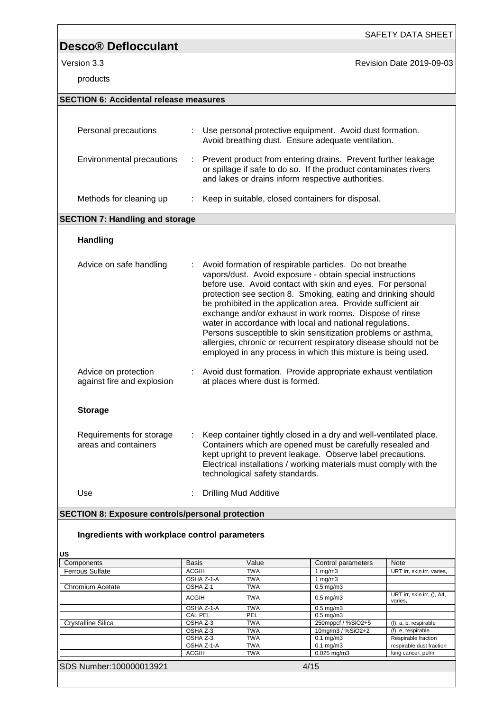products

SAFETY DATA SHEET

Version 3.3 **Version 3.3** Revision Date 2019-09-03

| piouuvio                                                |              |                              |                                 |                                                                                                                                                                                                                                                                                                                                                                                                                                                                                                                                                                                                                                                   |                            |
|---------------------------------------------------------|--------------|------------------------------|---------------------------------|---------------------------------------------------------------------------------------------------------------------------------------------------------------------------------------------------------------------------------------------------------------------------------------------------------------------------------------------------------------------------------------------------------------------------------------------------------------------------------------------------------------------------------------------------------------------------------------------------------------------------------------------------|----------------------------|
| <b>SECTION 6: Accidental release measures</b>           |              |                              |                                 |                                                                                                                                                                                                                                                                                                                                                                                                                                                                                                                                                                                                                                                   |                            |
|                                                         |              |                              |                                 |                                                                                                                                                                                                                                                                                                                                                                                                                                                                                                                                                                                                                                                   |                            |
| Personal precautions                                    |              |                              |                                 | Use personal protective equipment. Avoid dust formation.<br>Avoid breathing dust. Ensure adequate ventilation.                                                                                                                                                                                                                                                                                                                                                                                                                                                                                                                                    |                            |
| Environmental precautions                               | ÷            |                              |                                 | Prevent product from entering drains. Prevent further leakage<br>or spillage if safe to do so. If the product contaminates rivers<br>and lakes or drains inform respective authorities.                                                                                                                                                                                                                                                                                                                                                                                                                                                           |                            |
| Methods for cleaning up                                 |              |                              |                                 | Keep in suitable, closed containers for disposal.                                                                                                                                                                                                                                                                                                                                                                                                                                                                                                                                                                                                 |                            |
| <b>SECTION 7: Handling and storage</b>                  |              |                              |                                 |                                                                                                                                                                                                                                                                                                                                                                                                                                                                                                                                                                                                                                                   |                            |
| <b>Handling</b>                                         |              |                              |                                 |                                                                                                                                                                                                                                                                                                                                                                                                                                                                                                                                                                                                                                                   |                            |
| Advice on safe handling                                 |              |                              |                                 | Avoid formation of respirable particles. Do not breathe<br>vapors/dust. Avoid exposure - obtain special instructions<br>before use. Avoid contact with skin and eyes. For personal<br>protection see section 8. Smoking, eating and drinking should<br>be prohibited in the application area. Provide sufficient air<br>exchange and/or exhaust in work rooms. Dispose of rinse<br>water in accordance with local and national regulations.<br>Persons susceptible to skin sensitization problems or asthma,<br>allergies, chronic or recurrent respiratory disease should not be<br>employed in any process in which this mixture is being used. |                            |
| Advice on protection<br>against fire and explosion      | t.           |                              | at places where dust is formed. | Avoid dust formation. Provide appropriate exhaust ventilation                                                                                                                                                                                                                                                                                                                                                                                                                                                                                                                                                                                     |                            |
| <b>Storage</b>                                          |              |                              |                                 |                                                                                                                                                                                                                                                                                                                                                                                                                                                                                                                                                                                                                                                   |                            |
| Requirements for storage<br>areas and containers        |              |                              | technological safety standards. | Keep container tightly closed in a dry and well-ventilated place.<br>Containers which are opened must be carefully resealed and<br>kept upright to prevent leakage. Observe label precautions.<br>Electrical installations / working materials must comply with the                                                                                                                                                                                                                                                                                                                                                                               |                            |
| Use                                                     |              | <b>Drilling Mud Additive</b> |                                 |                                                                                                                                                                                                                                                                                                                                                                                                                                                                                                                                                                                                                                                   |                            |
| <b>SECTION 8: Exposure controls/personal protection</b> |              |                              |                                 |                                                                                                                                                                                                                                                                                                                                                                                                                                                                                                                                                                                                                                                   |                            |
| Ingredients with workplace control parameters           |              |                              |                                 |                                                                                                                                                                                                                                                                                                                                                                                                                                                                                                                                                                                                                                                   |                            |
| US                                                      |              |                              |                                 |                                                                                                                                                                                                                                                                                                                                                                                                                                                                                                                                                                                                                                                   |                            |
| Components                                              | Basis        |                              | Value                           | Control parameters                                                                                                                                                                                                                                                                                                                                                                                                                                                                                                                                                                                                                                | Note                       |
| <b>Ferrous Sulfate</b>                                  | <b>ACGIH</b> |                              | <b>TWA</b>                      | 1 mg/m $3$                                                                                                                                                                                                                                                                                                                                                                                                                                                                                                                                                                                                                                        | URT irr, skin irr, varies, |
|                                                         |              | $OCHA 7.1-A$                 | TIMA                            | $1 \text{ m}a/m3$                                                                                                                                                                                                                                                                                                                                                                                                                                                                                                                                                                                                                                 |                            |

| Components                | <b>Basis</b> | Value      | Control parameters   | <b>Note</b>                           |
|---------------------------|--------------|------------|----------------------|---------------------------------------|
| <b>Ferrous Sulfate</b>    | <b>ACGIH</b> | <b>TWA</b> | 1 $mq/m3$            | URT irr, skin irr, varies,            |
|                           | OSHA Z-1-A   | <b>TWA</b> | 1 $mq/m3$            |                                       |
| Chromium Acetate          | OSHA Z-1     | <b>TWA</b> | $0.5$ mg/m $3$       |                                       |
|                           | ACGIH        | <b>TWA</b> | $0.5$ mg/m $3$       | URT irr, skin irr, (), A4,<br>varies. |
|                           | OSHA Z-1-A   | <b>TWA</b> | $0.5$ mg/m $3$       |                                       |
|                           | CAL PEL      | PEL        | $0.5$ mg/m $3$       |                                       |
| <b>Crystalline Silica</b> | OSHA Z-3     | <b>TWA</b> | 250mppcf / %SiO2+5   | (f), a, b, respirable                 |
|                           | OSHA Z-3     | <b>TWA</b> | 10mg/m3 / %SiO2+2    | (f), e, respirable                    |
|                           | OSHA Z-3     | <b>TWA</b> | $0.1$ mg/m $3$       | Respirable fraction                   |
|                           | OSHA Z-1-A   | <b>TWA</b> | $0.1 \text{ mg/m}$ 3 | respirable dust fraction              |
|                           | ACGIH        | <b>TWA</b> | $0.025$ mg/m $3$     | lung cancer, pulm                     |
| SDS Number: 100000013921  |              |            | 4/15                 |                                       |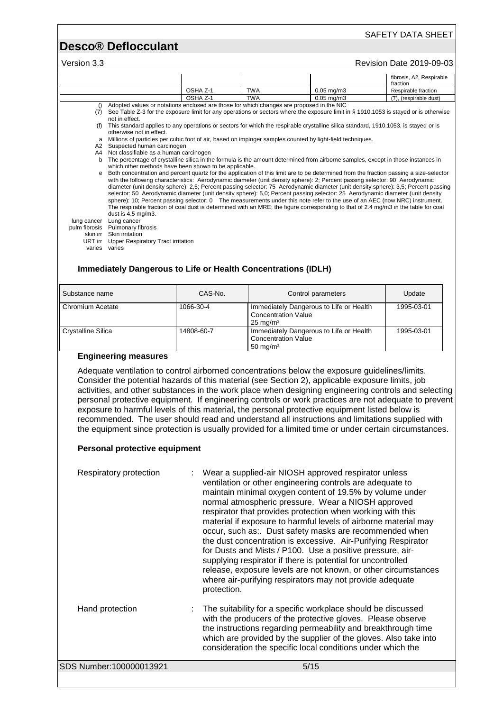### SAFETY DATA SHEET

## **Desco® Deflocculant**

### Version 3.3 **Version 3.3** Revision Date 2019-09-03

|                           |                                                                                                                                                                                                                                                                                                       |             |                                                   |                                                                                                                                                                                                                                                                                                                                                                                                                                                                                                                                   | fibrosis, A2, Respirable<br>fraction                                                                                                                                                                         |
|---------------------------|-------------------------------------------------------------------------------------------------------------------------------------------------------------------------------------------------------------------------------------------------------------------------------------------------------|-------------|---------------------------------------------------|-----------------------------------------------------------------------------------------------------------------------------------------------------------------------------------------------------------------------------------------------------------------------------------------------------------------------------------------------------------------------------------------------------------------------------------------------------------------------------------------------------------------------------------|--------------------------------------------------------------------------------------------------------------------------------------------------------------------------------------------------------------|
|                           |                                                                                                                                                                                                                                                                                                       | OSHA Z-1    | <b>TWA</b>                                        | $0.05$ mg/m $3$                                                                                                                                                                                                                                                                                                                                                                                                                                                                                                                   | Respirable fraction                                                                                                                                                                                          |
|                           | Adopted values or notations enclosed are those for which changes are proposed in the NIC                                                                                                                                                                                                              | OSHA Z-1    | <b>TWA</b>                                        | $0.05$ ma/m $3$                                                                                                                                                                                                                                                                                                                                                                                                                                                                                                                   | (7), (respirable dust)                                                                                                                                                                                       |
| ()                        | (7) See Table Z-3 for the exposure limit for any operations or sectors where the exposure limit in § 1910.1053 is stayed or is otherwise<br>not in effect.                                                                                                                                            |             |                                                   |                                                                                                                                                                                                                                                                                                                                                                                                                                                                                                                                   |                                                                                                                                                                                                              |
|                           | (f) This standard applies to any operations or sectors for which the respirable crystalline silica standard, 1910.1053, is stayed or is<br>otherwise not in effect.                                                                                                                                   |             |                                                   |                                                                                                                                                                                                                                                                                                                                                                                                                                                                                                                                   |                                                                                                                                                                                                              |
|                           | a Millions of particles per cubic foot of air, based on impinger samples counted by light-field techniques.                                                                                                                                                                                           |             |                                                   |                                                                                                                                                                                                                                                                                                                                                                                                                                                                                                                                   |                                                                                                                                                                                                              |
|                           | A2 Suspected human carcinogen<br>A4 Not classifiable as a human carcinogen                                                                                                                                                                                                                            |             |                                                   |                                                                                                                                                                                                                                                                                                                                                                                                                                                                                                                                   |                                                                                                                                                                                                              |
|                           | b The percentage of crystalline silica in the formula is the amount determined from airborne samples, except in those instances in<br>which other methods have been shown to be applicable.                                                                                                           |             |                                                   |                                                                                                                                                                                                                                                                                                                                                                                                                                                                                                                                   |                                                                                                                                                                                                              |
|                           | e Both concentration and percent quartz for the application of this limit are to be determined from the fraction passing a size-selector                                                                                                                                                              |             |                                                   |                                                                                                                                                                                                                                                                                                                                                                                                                                                                                                                                   |                                                                                                                                                                                                              |
|                           |                                                                                                                                                                                                                                                                                                       |             |                                                   | with the following characteristics: Aerodynamic diameter (unit density sphere): 2; Percent passing selector: 90 Aerodynamic<br>selector: 50 Aerodynamic diameter (unit density sphere): 5,0; Percent passing selector: 25 Aerodynamic diameter (unit density<br>sphere): 10; Percent passing selector: 0 The measurements under this note refer to the use of an AEC (now NRC) instrument.<br>The respirable fraction of coal dust is determined with an MRE; the figure corresponding to that of 2.4 mg/m3 in the table for coal | diameter (unit density sphere): 2,5; Percent passing selector: 75 Aerodynamic diameter (unit density sphere): 3,5; Percent passing                                                                           |
| lung cancer               | dust is 4.5 mg/m3.<br>Lung cancer<br>pulm fibrosis Pulmonary fibrosis                                                                                                                                                                                                                                 |             |                                                   |                                                                                                                                                                                                                                                                                                                                                                                                                                                                                                                                   |                                                                                                                                                                                                              |
|                           | skin irr Skin irritation                                                                                                                                                                                                                                                                              |             |                                                   |                                                                                                                                                                                                                                                                                                                                                                                                                                                                                                                                   |                                                                                                                                                                                                              |
|                           | URT irr Upper Respiratory Tract irritation<br>varies varies                                                                                                                                                                                                                                           |             |                                                   |                                                                                                                                                                                                                                                                                                                                                                                                                                                                                                                                   |                                                                                                                                                                                                              |
|                           |                                                                                                                                                                                                                                                                                                       |             |                                                   |                                                                                                                                                                                                                                                                                                                                                                                                                                                                                                                                   |                                                                                                                                                                                                              |
|                           | <b>Immediately Dangerous to Life or Health Concentrations (IDLH)</b>                                                                                                                                                                                                                                  |             |                                                   |                                                                                                                                                                                                                                                                                                                                                                                                                                                                                                                                   |                                                                                                                                                                                                              |
|                           |                                                                                                                                                                                                                                                                                                       |             |                                                   |                                                                                                                                                                                                                                                                                                                                                                                                                                                                                                                                   |                                                                                                                                                                                                              |
| Substance name            |                                                                                                                                                                                                                                                                                                       | CAS-No.     |                                                   | Control parameters                                                                                                                                                                                                                                                                                                                                                                                                                                                                                                                | Update                                                                                                                                                                                                       |
| <b>Chromium Acetate</b>   |                                                                                                                                                                                                                                                                                                       | 1066-30-4   |                                                   | Immediately Dangerous to Life or Health                                                                                                                                                                                                                                                                                                                                                                                                                                                                                           | 1995-03-01                                                                                                                                                                                                   |
|                           |                                                                                                                                                                                                                                                                                                       |             | <b>Concentration Value</b><br>$25 \text{ mg/m}^3$ |                                                                                                                                                                                                                                                                                                                                                                                                                                                                                                                                   |                                                                                                                                                                                                              |
| <b>Crystalline Silica</b> |                                                                                                                                                                                                                                                                                                       | 14808-60-7  |                                                   | Immediately Dangerous to Life or Health                                                                                                                                                                                                                                                                                                                                                                                                                                                                                           | 1995-03-01                                                                                                                                                                                                   |
|                           |                                                                                                                                                                                                                                                                                                       |             | <b>Concentration Value</b><br>$50 \text{ mg/m}^3$ |                                                                                                                                                                                                                                                                                                                                                                                                                                                                                                                                   |                                                                                                                                                                                                              |
|                           | <b>Engineering measures</b><br>Adequate ventilation to control airborned concentrations below the exposure guidelines/limits.                                                                                                                                                                         |             |                                                   |                                                                                                                                                                                                                                                                                                                                                                                                                                                                                                                                   |                                                                                                                                                                                                              |
|                           | Consider the potential hazards of this material (see Section 2), applicable exposure limits, job<br>exposure to harmful levels of this material, the personal protective equipment listed below is<br>recommended. The user should read and understand all instructions and limitations supplied with |             |                                                   |                                                                                                                                                                                                                                                                                                                                                                                                                                                                                                                                   | activities, and other substances in the work place when designing engineering controls and selecting<br>personal protective equipment. If engineering controls or work practices are not adequate to prevent |
|                           | the equipment since protection is usually provided for a limited time or under certain circumstances.                                                                                                                                                                                                 |             |                                                   |                                                                                                                                                                                                                                                                                                                                                                                                                                                                                                                                   |                                                                                                                                                                                                              |
|                           | Personal protective equipment                                                                                                                                                                                                                                                                         |             |                                                   |                                                                                                                                                                                                                                                                                                                                                                                                                                                                                                                                   |                                                                                                                                                                                                              |
|                           | Respiratory protection                                                                                                                                                                                                                                                                                |             |                                                   | Wear a supplied-air NIOSH approved respirator unless                                                                                                                                                                                                                                                                                                                                                                                                                                                                              |                                                                                                                                                                                                              |
|                           |                                                                                                                                                                                                                                                                                                       |             |                                                   | ventilation or other engineering controls are adequate to                                                                                                                                                                                                                                                                                                                                                                                                                                                                         |                                                                                                                                                                                                              |
|                           |                                                                                                                                                                                                                                                                                                       |             |                                                   | maintain minimal oxygen content of 19.5% by volume under                                                                                                                                                                                                                                                                                                                                                                                                                                                                          |                                                                                                                                                                                                              |
|                           |                                                                                                                                                                                                                                                                                                       |             |                                                   | normal atmospheric pressure. Wear a NIOSH approved                                                                                                                                                                                                                                                                                                                                                                                                                                                                                |                                                                                                                                                                                                              |
|                           |                                                                                                                                                                                                                                                                                                       |             |                                                   | respirator that provides protection when working with this                                                                                                                                                                                                                                                                                                                                                                                                                                                                        |                                                                                                                                                                                                              |
|                           |                                                                                                                                                                                                                                                                                                       |             |                                                   | material if exposure to harmful levels of airborne material may                                                                                                                                                                                                                                                                                                                                                                                                                                                                   |                                                                                                                                                                                                              |
|                           |                                                                                                                                                                                                                                                                                                       |             |                                                   | occur, such as:. Dust safety masks are recommended when                                                                                                                                                                                                                                                                                                                                                                                                                                                                           |                                                                                                                                                                                                              |
|                           |                                                                                                                                                                                                                                                                                                       |             |                                                   | the dust concentration is excessive. Air-Purifying Respirator<br>for Dusts and Mists / P100. Use a positive pressure, air-                                                                                                                                                                                                                                                                                                                                                                                                        |                                                                                                                                                                                                              |
|                           |                                                                                                                                                                                                                                                                                                       |             |                                                   | supplying respirator if there is potential for uncontrolled                                                                                                                                                                                                                                                                                                                                                                                                                                                                       |                                                                                                                                                                                                              |
|                           |                                                                                                                                                                                                                                                                                                       |             |                                                   | release, exposure levels are not known, or other circumstances                                                                                                                                                                                                                                                                                                                                                                                                                                                                    |                                                                                                                                                                                                              |
|                           |                                                                                                                                                                                                                                                                                                       |             |                                                   | where air-purifying respirators may not provide adequate                                                                                                                                                                                                                                                                                                                                                                                                                                                                          |                                                                                                                                                                                                              |
|                           |                                                                                                                                                                                                                                                                                                       | protection. |                                                   |                                                                                                                                                                                                                                                                                                                                                                                                                                                                                                                                   |                                                                                                                                                                                                              |
|                           | Hand protection                                                                                                                                                                                                                                                                                       |             |                                                   | The suitability for a specific workplace should be discussed                                                                                                                                                                                                                                                                                                                                                                                                                                                                      |                                                                                                                                                                                                              |
|                           |                                                                                                                                                                                                                                                                                                       |             |                                                   | with the producers of the protective gloves. Please observe                                                                                                                                                                                                                                                                                                                                                                                                                                                                       |                                                                                                                                                                                                              |
|                           |                                                                                                                                                                                                                                                                                                       |             |                                                   | the instructions regarding permeability and breakthrough time                                                                                                                                                                                                                                                                                                                                                                                                                                                                     |                                                                                                                                                                                                              |
|                           |                                                                                                                                                                                                                                                                                                       |             |                                                   | which are provided by the supplier of the gloves. Also take into                                                                                                                                                                                                                                                                                                                                                                                                                                                                  |                                                                                                                                                                                                              |
|                           |                                                                                                                                                                                                                                                                                                       |             |                                                   | consideration the specific local conditions under which the                                                                                                                                                                                                                                                                                                                                                                                                                                                                       |                                                                                                                                                                                                              |
|                           | SDS Number:100000013921                                                                                                                                                                                                                                                                               |             |                                                   | 5/15                                                                                                                                                                                                                                                                                                                                                                                                                                                                                                                              |                                                                                                                                                                                                              |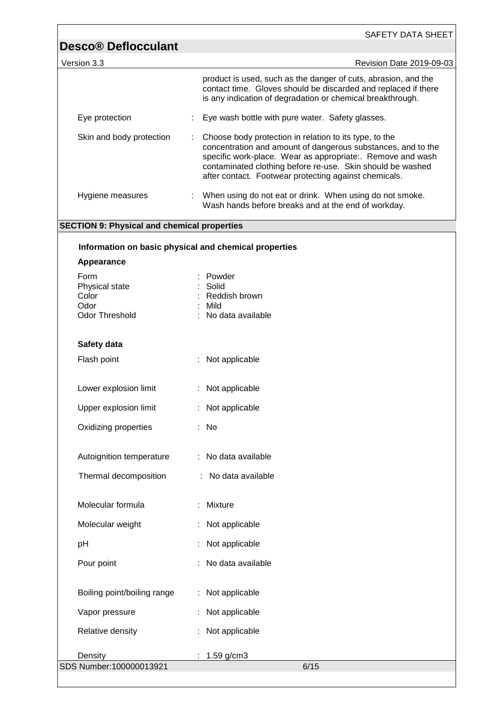| <b>Desco® Deflocculant</b><br>Version 3.3             | Revision Date 2019-09-03                                                                                                                                                                                                                                                                                    |
|-------------------------------------------------------|-------------------------------------------------------------------------------------------------------------------------------------------------------------------------------------------------------------------------------------------------------------------------------------------------------------|
|                                                       |                                                                                                                                                                                                                                                                                                             |
|                                                       | product is used, such as the danger of cuts, abrasion, and the<br>contact time. Gloves should be discarded and replaced if there<br>is any indication of degradation or chemical breakthrough.                                                                                                              |
| Eye protection                                        | Eye wash bottle with pure water. Safety glasses.                                                                                                                                                                                                                                                            |
| Skin and body protection                              | Choose body protection in relation to its type, to the<br>concentration and amount of dangerous substances, and to the<br>specific work-place. Wear as appropriate:. Remove and wash<br>contaminated clothing before re-use. Skin should be washed<br>after contact. Footwear protecting against chemicals. |
| Hygiene measures                                      | When using do not eat or drink. When using do not smoke.<br>Wash hands before breaks and at the end of workday.                                                                                                                                                                                             |
| <b>SECTION 9: Physical and chemical properties</b>    |                                                                                                                                                                                                                                                                                                             |
|                                                       |                                                                                                                                                                                                                                                                                                             |
| Information on basic physical and chemical properties |                                                                                                                                                                                                                                                                                                             |
| Appearance                                            |                                                                                                                                                                                                                                                                                                             |
| Form<br>Physical state                                | Powder<br>Solid                                                                                                                                                                                                                                                                                             |
| Color                                                 | Reddish brown                                                                                                                                                                                                                                                                                               |
| Odor                                                  | Mild                                                                                                                                                                                                                                                                                                        |
| <b>Odor Threshold</b>                                 | No data available                                                                                                                                                                                                                                                                                           |
| Safety data                                           |                                                                                                                                                                                                                                                                                                             |
| Flash point                                           | : Not applicable                                                                                                                                                                                                                                                                                            |
|                                                       |                                                                                                                                                                                                                                                                                                             |
| Lower explosion limit                                 | : Not applicable                                                                                                                                                                                                                                                                                            |
| Upper explosion limit                                 | : Not applicable                                                                                                                                                                                                                                                                                            |
| Oxidizing properties                                  | : No                                                                                                                                                                                                                                                                                                        |
| Autoignition temperature                              | No data available                                                                                                                                                                                                                                                                                           |
| Thermal decomposition                                 | No data available                                                                                                                                                                                                                                                                                           |
|                                                       |                                                                                                                                                                                                                                                                                                             |
| Molecular formula                                     | Mixture                                                                                                                                                                                                                                                                                                     |
| Molecular weight                                      | Not applicable                                                                                                                                                                                                                                                                                              |
| pH                                                    | Not applicable                                                                                                                                                                                                                                                                                              |
| Pour point                                            | No data available                                                                                                                                                                                                                                                                                           |
| Boiling point/boiling range                           | Not applicable                                                                                                                                                                                                                                                                                              |
| Vapor pressure                                        | Not applicable                                                                                                                                                                                                                                                                                              |
| Relative density                                      | Not applicable                                                                                                                                                                                                                                                                                              |
| Density                                               | 1.59 g/cm3                                                                                                                                                                                                                                                                                                  |
| SDS Number:100000013921                               | 6/15                                                                                                                                                                                                                                                                                                        |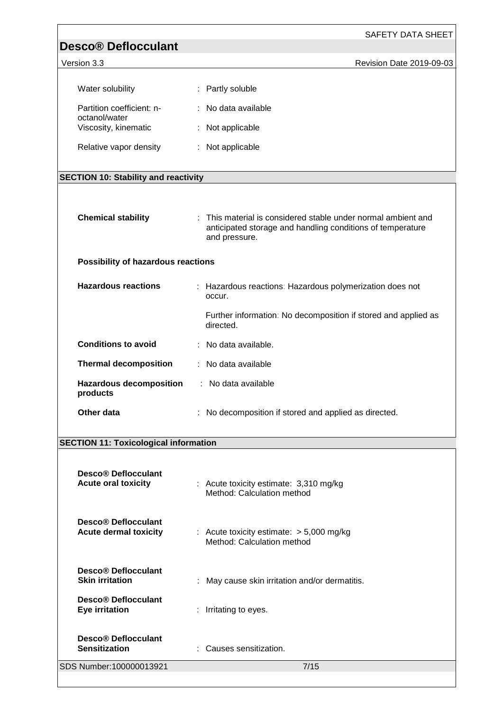| <b>Desco® Deflocculant</b>                                      | SAFETY DATA SHEET                                                                                                                            |
|-----------------------------------------------------------------|----------------------------------------------------------------------------------------------------------------------------------------------|
| Version 3.3                                                     | Revision Date 2019-09-03                                                                                                                     |
|                                                                 |                                                                                                                                              |
| Water solubility                                                | : Partly soluble                                                                                                                             |
| Partition coefficient: n-<br>octanol/water                      | : No data available                                                                                                                          |
| Viscosity, kinematic                                            | Not applicable                                                                                                                               |
| Relative vapor density                                          | : Not applicable                                                                                                                             |
| <b>SECTION 10: Stability and reactivity</b>                     |                                                                                                                                              |
|                                                                 |                                                                                                                                              |
| <b>Chemical stability</b>                                       | : This material is considered stable under normal ambient and<br>anticipated storage and handling conditions of temperature<br>and pressure. |
| Possibility of hazardous reactions                              |                                                                                                                                              |
| <b>Hazardous reactions</b>                                      | : Hazardous reactions: Hazardous polymerization does not<br>occur.                                                                           |
|                                                                 | Further information: No decomposition if stored and applied as<br>directed.                                                                  |
| <b>Conditions to avoid</b>                                      | : No data available.                                                                                                                         |
| <b>Thermal decomposition</b>                                    | : No data available                                                                                                                          |
| <b>Hazardous decomposition</b><br>products                      | : No data available                                                                                                                          |
| Other data                                                      | : No decomposition if stored and applied as directed.                                                                                        |
| <b>SECTION 11: Toxicological information</b>                    |                                                                                                                                              |
|                                                                 |                                                                                                                                              |
| Desco <sup>®</sup> Deflocculant<br><b>Acute oral toxicity</b>   | : Acute toxicity estimate: 3,310 mg/kg<br>Method: Calculation method                                                                         |
| Desco <sup>®</sup> Deflocculant<br><b>Acute dermal toxicity</b> | : Acute toxicity estimate: $> 5,000$ mg/kg<br>Method: Calculation method                                                                     |
| <b>Desco® Deflocculant</b><br><b>Skin irritation</b>            | May cause skin irritation and/or dermatitis.                                                                                                 |
| <b>Desco® Deflocculant</b><br><b>Eye irritation</b>             | : Irritating to eyes.                                                                                                                        |
| <b>Desco® Deflocculant</b><br><b>Sensitization</b>              | Causes sensitization.                                                                                                                        |
| SDS Number:100000013921                                         | 7/15                                                                                                                                         |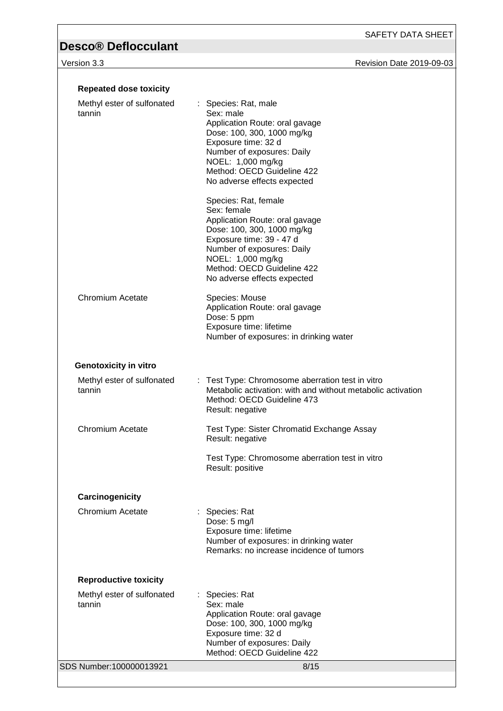### version 3.3 **Version 3.3** Revision Date 2019-09-03

| <b>Repeated dose toxicity</b>        |                                                                                                                                                                                                                                                                                                                                                                                                                                                                                             |
|--------------------------------------|---------------------------------------------------------------------------------------------------------------------------------------------------------------------------------------------------------------------------------------------------------------------------------------------------------------------------------------------------------------------------------------------------------------------------------------------------------------------------------------------|
| Methyl ester of sulfonated<br>tannin | : Species: Rat, male<br>Sex: male<br>Application Route: oral gavage<br>Dose: 100, 300, 1000 mg/kg<br>Exposure time: 32 d<br>Number of exposures: Daily<br>NOEL: 1,000 mg/kg<br>Method: OECD Guideline 422<br>No adverse effects expected<br>Species: Rat, female<br>Sex: female<br>Application Route: oral gavage<br>Dose: 100, 300, 1000 mg/kg<br>Exposure time: 39 - 47 d<br>Number of exposures: Daily<br>NOEL: 1,000 mg/kg<br>Method: OECD Guideline 422<br>No adverse effects expected |
| <b>Chromium Acetate</b>              | Species: Mouse<br>Application Route: oral gavage<br>Dose: 5 ppm<br>Exposure time: lifetime<br>Number of exposures: in drinking water                                                                                                                                                                                                                                                                                                                                                        |
| <b>Genotoxicity in vitro</b>         |                                                                                                                                                                                                                                                                                                                                                                                                                                                                                             |
| Methyl ester of sulfonated<br>tannin | : Test Type: Chromosome aberration test in vitro<br>Metabolic activation: with and without metabolic activation<br>Method: OECD Guideline 473<br>Result: negative                                                                                                                                                                                                                                                                                                                           |
| <b>Chromium Acetate</b>              | Test Type: Sister Chromatid Exchange Assay<br>Result: negative                                                                                                                                                                                                                                                                                                                                                                                                                              |
|                                      | Test Type: Chromosome aberration test in vitro<br>Result: positive                                                                                                                                                                                                                                                                                                                                                                                                                          |
| Carcinogenicity                      |                                                                                                                                                                                                                                                                                                                                                                                                                                                                                             |
| <b>Chromium Acetate</b>              | : Species: Rat<br>Dose: 5 mg/l<br>Exposure time: lifetime<br>Number of exposures: in drinking water<br>Remarks: no increase incidence of tumors                                                                                                                                                                                                                                                                                                                                             |
| <b>Reproductive toxicity</b>         |                                                                                                                                                                                                                                                                                                                                                                                                                                                                                             |
| Methyl ester of sulfonated<br>tannin | : Species: Rat<br>Sex: male<br>Application Route: oral gavage<br>Dose: 100, 300, 1000 mg/kg<br>Exposure time: 32 d<br>Number of exposures: Daily<br>Method: OECD Guideline 422                                                                                                                                                                                                                                                                                                              |
| SDS Number:100000013921              | 8/15                                                                                                                                                                                                                                                                                                                                                                                                                                                                                        |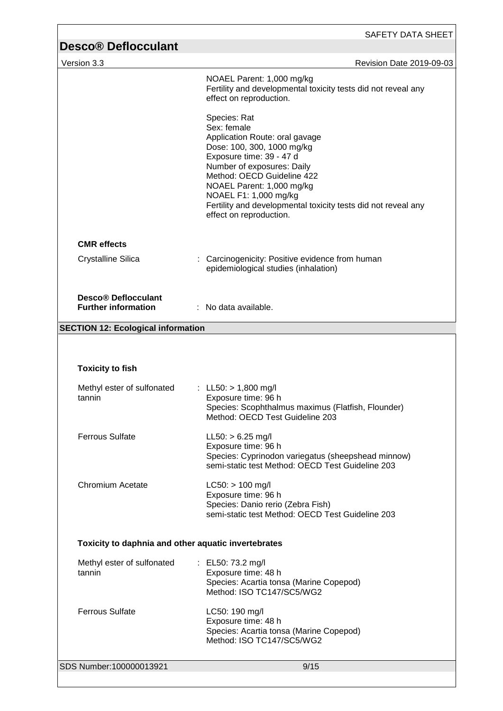| <b>Desco® Deflocculant</b><br>Version 3.3                | Revision Date 2019-09-03                                                                                                                                                                                                                                                                                                              |
|----------------------------------------------------------|---------------------------------------------------------------------------------------------------------------------------------------------------------------------------------------------------------------------------------------------------------------------------------------------------------------------------------------|
|                                                          | NOAEL Parent: 1,000 mg/kg<br>Fertility and developmental toxicity tests did not reveal any<br>effect on reproduction.                                                                                                                                                                                                                 |
|                                                          | Species: Rat<br>Sex: female<br>Application Route: oral gavage<br>Dose: 100, 300, 1000 mg/kg<br>Exposure time: 39 - 47 d<br>Number of exposures: Daily<br>Method: OECD Guideline 422<br>NOAEL Parent: 1,000 mg/kg<br>NOAEL F1: 1,000 mg/kg<br>Fertility and developmental toxicity tests did not reveal any<br>effect on reproduction. |
| <b>CMR</b> effects                                       |                                                                                                                                                                                                                                                                                                                                       |
| <b>Crystalline Silica</b>                                | : Carcinogenicity: Positive evidence from human<br>epidemiological studies (inhalation)                                                                                                                                                                                                                                               |
| <b>Desco® Deflocculant</b><br><b>Further information</b> | $\therefore$ No data available.                                                                                                                                                                                                                                                                                                       |
| <b>SECTION 12: Ecological information</b>                |                                                                                                                                                                                                                                                                                                                                       |
| <b>Toxicity to fish</b>                                  |                                                                                                                                                                                                                                                                                                                                       |
| Methyl ester of sulfonated<br>tannin                     | : LL50: $> 1,800$ mg/l<br>Exposure time: 96 h<br>Species: Scophthalmus maximus (Flatfish, Flounder)<br>Method: OECD Test Guideline 203                                                                                                                                                                                                |
| <b>Ferrous Sulfate</b>                                   | $LL50:$ > 6.25 mg/l<br>Exposure time: 96 h<br>Species: Cyprinodon variegatus (sheepshead minnow)<br>semi-static test Method: OECD Test Guideline 203                                                                                                                                                                                  |
| Chromium Acetate                                         | $LC50:$ > 100 mg/l<br>Exposure time: 96 h<br>Species: Danio rerio (Zebra Fish)<br>semi-static test Method: OECD Test Guideline 203                                                                                                                                                                                                    |
| Toxicity to daphnia and other aquatic invertebrates      |                                                                                                                                                                                                                                                                                                                                       |
| Methyl ester of sulfonated<br>tannin                     | : EL50: 73.2 mg/l<br>Exposure time: 48 h<br>Species: Acartia tonsa (Marine Copepod)<br>Method: ISO TC147/SC5/WG2                                                                                                                                                                                                                      |
| <b>Ferrous Sulfate</b>                                   | LC50: 190 mg/l<br>Exposure time: 48 h<br>Species: Acartia tonsa (Marine Copepod)<br>Method: ISO TC147/SC5/WG2                                                                                                                                                                                                                         |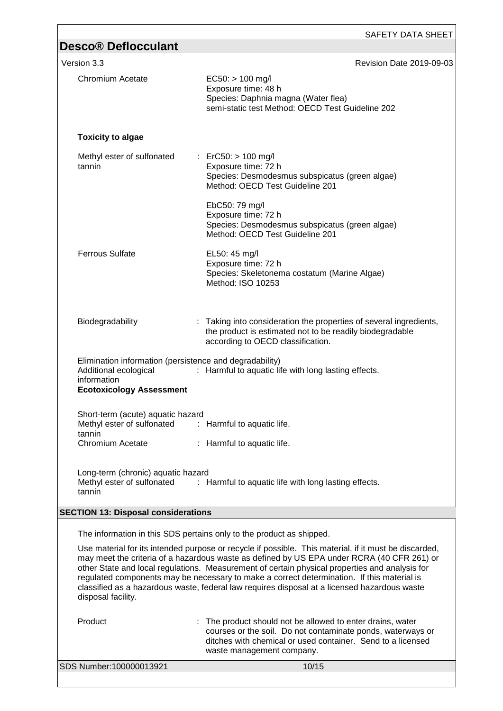|                                                                                                                                    | SAFETY DATA SHEET                                                                                                                                                                                                                                                                                                                                                                                                                                                                                   |
|------------------------------------------------------------------------------------------------------------------------------------|-----------------------------------------------------------------------------------------------------------------------------------------------------------------------------------------------------------------------------------------------------------------------------------------------------------------------------------------------------------------------------------------------------------------------------------------------------------------------------------------------------|
| <b>Desco® Deflocculant</b>                                                                                                         |                                                                                                                                                                                                                                                                                                                                                                                                                                                                                                     |
| Version 3.3                                                                                                                        | Revision Date 2019-09-03                                                                                                                                                                                                                                                                                                                                                                                                                                                                            |
| Chromium Acetate                                                                                                                   | $EC50:$ > 100 mg/l<br>Exposure time: 48 h<br>Species: Daphnia magna (Water flea)<br>semi-static test Method: OECD Test Guideline 202                                                                                                                                                                                                                                                                                                                                                                |
| <b>Toxicity to algae</b>                                                                                                           |                                                                                                                                                                                                                                                                                                                                                                                                                                                                                                     |
| Methyl ester of sulfonated<br>tannin                                                                                               | : ErC50: $> 100$ mg/l<br>Exposure time: 72 h<br>Species: Desmodesmus subspicatus (green algae)<br>Method: OECD Test Guideline 201                                                                                                                                                                                                                                                                                                                                                                   |
|                                                                                                                                    | EbC50: 79 mg/l<br>Exposure time: 72 h<br>Species: Desmodesmus subspicatus (green algae)<br>Method: OECD Test Guideline 201                                                                                                                                                                                                                                                                                                                                                                          |
| <b>Ferrous Sulfate</b>                                                                                                             | EL50: 45 mg/l<br>Exposure time: 72 h<br>Species: Skeletonema costatum (Marine Algae)<br>Method: ISO 10253                                                                                                                                                                                                                                                                                                                                                                                           |
| Biodegradability                                                                                                                   | Taking into consideration the properties of several ingredients,<br>the product is estimated not to be readily biodegradable<br>according to OECD classification.                                                                                                                                                                                                                                                                                                                                   |
| Elimination information (persistence and degradability)<br>Additional ecological<br>information<br><b>Ecotoxicology Assessment</b> | : Harmful to aquatic life with long lasting effects.                                                                                                                                                                                                                                                                                                                                                                                                                                                |
| Short-term (acute) aquatic hazard<br>Methyl ester of sulfonated<br>tannin                                                          | : Harmful to aquatic life.                                                                                                                                                                                                                                                                                                                                                                                                                                                                          |
| <b>Chromium Acetate</b>                                                                                                            | : Harmful to aquatic life.                                                                                                                                                                                                                                                                                                                                                                                                                                                                          |
| Long-term (chronic) aquatic hazard<br>Methyl ester of sulfonated<br>tannin                                                         | : Harmful to aquatic life with long lasting effects.                                                                                                                                                                                                                                                                                                                                                                                                                                                |
| <b>SECTION 13: Disposal considerations</b>                                                                                         |                                                                                                                                                                                                                                                                                                                                                                                                                                                                                                     |
|                                                                                                                                    | The information in this SDS pertains only to the product as shipped.                                                                                                                                                                                                                                                                                                                                                                                                                                |
| disposal facility.                                                                                                                 | Use material for its intended purpose or recycle if possible. This material, if it must be discarded,<br>may meet the criteria of a hazardous waste as defined by US EPA under RCRA (40 CFR 261) or<br>other State and local regulations. Measurement of certain physical properties and analysis for<br>regulated components may be necessary to make a correct determination. If this material is<br>classified as a hazardous waste, federal law requires disposal at a licensed hazardous waste |
| Product                                                                                                                            | The product should not be allowed to enter drains, water<br>courses or the soil. Do not contaminate ponds, waterways or<br>ditches with chemical or used container. Send to a licensed<br>waste management company.                                                                                                                                                                                                                                                                                 |
| SDS Number:100000013921                                                                                                            | 10/15                                                                                                                                                                                                                                                                                                                                                                                                                                                                                               |

 $\overline{1}$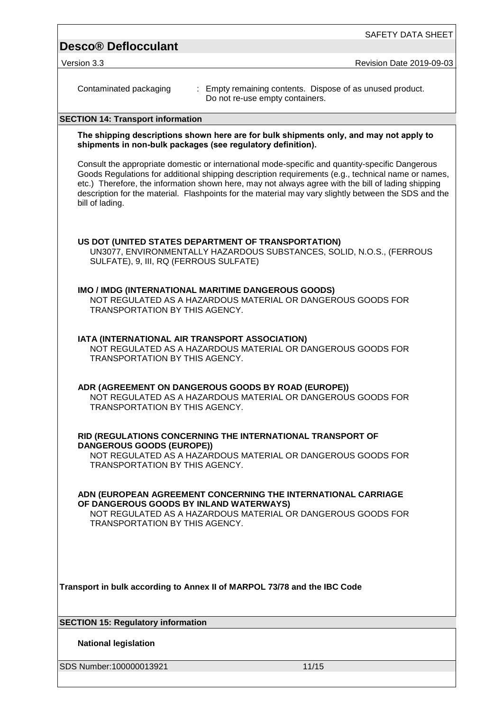| SAFETY DATA SHEET                                                                                                                                                                                                                                                                                                                                                                                                                      |
|----------------------------------------------------------------------------------------------------------------------------------------------------------------------------------------------------------------------------------------------------------------------------------------------------------------------------------------------------------------------------------------------------------------------------------------|
| <b>Desco® Deflocculant</b>                                                                                                                                                                                                                                                                                                                                                                                                             |
| Version 3.3<br><b>Revision Date 2019-09-03</b>                                                                                                                                                                                                                                                                                                                                                                                         |
| Contaminated packaging<br>: Empty remaining contents. Dispose of as unused product.<br>Do not re-use empty containers.                                                                                                                                                                                                                                                                                                                 |
| <b>SECTION 14: Transport information</b>                                                                                                                                                                                                                                                                                                                                                                                               |
| The shipping descriptions shown here are for bulk shipments only, and may not apply to<br>shipments in non-bulk packages (see regulatory definition).                                                                                                                                                                                                                                                                                  |
| Consult the appropriate domestic or international mode-specific and quantity-specific Dangerous<br>Goods Regulations for additional shipping description requirements (e.g., technical name or names,<br>etc.) Therefore, the information shown here, may not always agree with the bill of lading shipping<br>description for the material. Flashpoints for the material may vary slightly between the SDS and the<br>bill of lading. |
| US DOT (UNITED STATES DEPARTMENT OF TRANSPORTATION)<br>UN3077, ENVIRONMENTALLY HAZARDOUS SUBSTANCES, SOLID, N.O.S., (FERROUS<br>SULFATE), 9, III, RQ (FERROUS SULFATE)                                                                                                                                                                                                                                                                 |
| IMO / IMDG (INTERNATIONAL MARITIME DANGEROUS GOODS)<br>NOT REGULATED AS A HAZARDOUS MATERIAL OR DANGEROUS GOODS FOR<br>TRANSPORTATION BY THIS AGENCY.                                                                                                                                                                                                                                                                                  |
| IATA (INTERNATIONAL AIR TRANSPORT ASSOCIATION)<br>NOT REGULATED AS A HAZARDOUS MATERIAL OR DANGEROUS GOODS FOR<br>TRANSPORTATION BY THIS AGENCY.                                                                                                                                                                                                                                                                                       |
| ADR (AGREEMENT ON DANGEROUS GOODS BY ROAD (EUROPE))<br>NOT REGULATED AS A HAZARDOUS MATERIAL OR DANGEROUS GOODS FOR<br>TRANSPORTATION BY THIS AGENCY.                                                                                                                                                                                                                                                                                  |
| RID (REGULATIONS CONCERNING THE INTERNATIONAL TRANSPORT OF<br><b>DANGEROUS GOODS (EUROPE))</b><br>NOT REGULATED AS A HAZARDOUS MATERIAL OR DANGEROUS GOODS FOR<br>TRANSPORTATION BY THIS AGENCY.                                                                                                                                                                                                                                       |
| ADN (EUROPEAN AGREEMENT CONCERNING THE INTERNATIONAL CARRIAGE<br>OF DANGEROUS GOODS BY INLAND WATERWAYS)<br>NOT REGULATED AS A HAZARDOUS MATERIAL OR DANGEROUS GOODS FOR<br><b>TRANSPORTATION BY THIS AGENCY.</b>                                                                                                                                                                                                                      |
| Transport in bulk according to Annex II of MARPOL 73/78 and the IBC Code                                                                                                                                                                                                                                                                                                                                                               |
| <b>SECTION 15: Regulatory information</b>                                                                                                                                                                                                                                                                                                                                                                                              |
| <b>National legislation</b>                                                                                                                                                                                                                                                                                                                                                                                                            |
| SDS Number:100000013921<br>11/15                                                                                                                                                                                                                                                                                                                                                                                                       |

SDS Number:100000013921 11/15

Г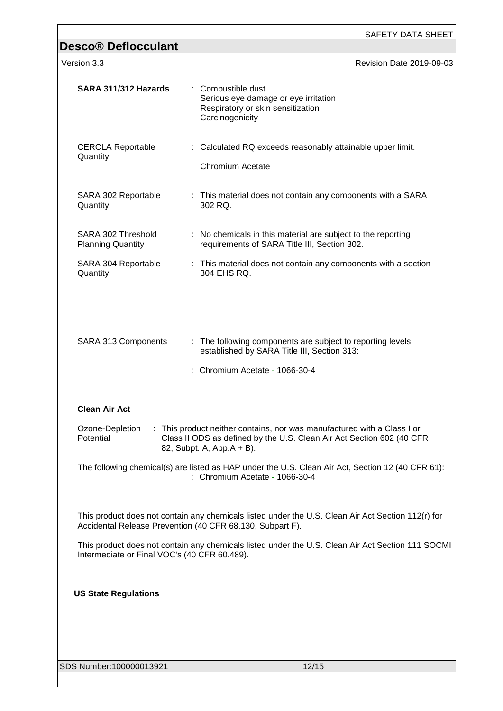| <b>Desco® Deflocculant</b>                                | SAFETY DATA SHEET                                                                                                                                                              |
|-----------------------------------------------------------|--------------------------------------------------------------------------------------------------------------------------------------------------------------------------------|
| Version 3.3                                               | Revision Date 2019-09-03                                                                                                                                                       |
|                                                           |                                                                                                                                                                                |
| SARA 311/312 Hazards                                      | : Combustible dust<br>Serious eye damage or eye irritation<br>Respiratory or skin sensitization<br>Carcinogenicity                                                             |
| <b>CERCLA Reportable</b><br>Quantity                      | : Calculated RQ exceeds reasonably attainable upper limit.<br><b>Chromium Acetate</b>                                                                                          |
| SARA 302 Reportable<br>Quantity                           | : This material does not contain any components with a SARA<br>302 RQ.                                                                                                         |
| SARA 302 Threshold<br><b>Planning Quantity</b>            | : No chemicals in this material are subject to the reporting<br>requirements of SARA Title III, Section 302.                                                                   |
| SARA 304 Reportable<br>Quantity                           | : This material does not contain any components with a section<br>304 EHS RQ.                                                                                                  |
| SARA 313 Components                                       | : The following components are subject to reporting levels<br>established by SARA Title III, Section 313:<br>: Chromium Acetate - 1066-30-4                                    |
| <b>Clean Air Act</b>                                      |                                                                                                                                                                                |
| Ozone-Depletion<br>Potential                              | : This product neither contains, nor was manufactured with a Class I or<br>Class II ODS as defined by the U.S. Clean Air Act Section 602 (40 CFR<br>82, Subpt. A, App. A + B). |
|                                                           | The following chemical(s) are listed as HAP under the U.S. Clean Air Act, Section 12 (40 CFR 61):<br>: Chromium Acetate - 1066-30-4                                            |
| Accidental Release Prevention (40 CFR 68.130, Subpart F). | This product does not contain any chemicals listed under the U.S. Clean Air Act Section 112(r) for                                                                             |
| Intermediate or Final VOC's (40 CFR 60.489).              | This product does not contain any chemicals listed under the U.S. Clean Air Act Section 111 SOCMI                                                                              |
| <b>US State Regulations</b>                               |                                                                                                                                                                                |
|                                                           |                                                                                                                                                                                |
| SDS Number:100000013921                                   | 12/15                                                                                                                                                                          |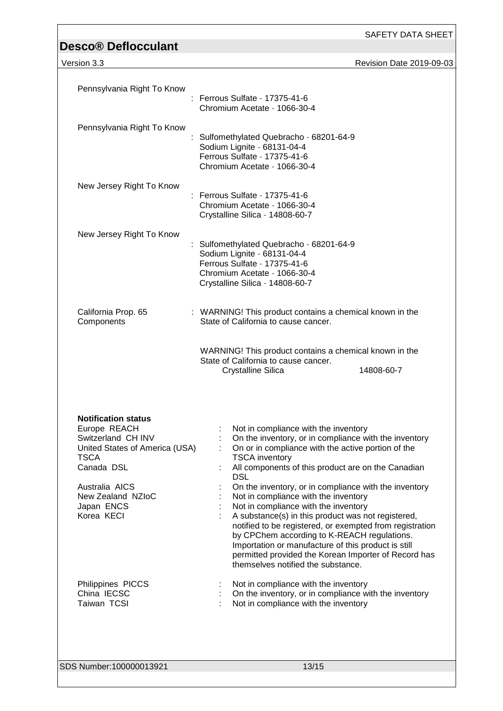| <b>Desco® Deflocculant</b>                                                                                                                                                                         | SAFETY DATA SHEET                                                                                                                                                                                                                                                                                                                                                                                                                                                                                                                                                                                                                                                                                               |
|----------------------------------------------------------------------------------------------------------------------------------------------------------------------------------------------------|-----------------------------------------------------------------------------------------------------------------------------------------------------------------------------------------------------------------------------------------------------------------------------------------------------------------------------------------------------------------------------------------------------------------------------------------------------------------------------------------------------------------------------------------------------------------------------------------------------------------------------------------------------------------------------------------------------------------|
| Version 3.3                                                                                                                                                                                        | Revision Date 2019-09-03                                                                                                                                                                                                                                                                                                                                                                                                                                                                                                                                                                                                                                                                                        |
| Pennsylvania Right To Know                                                                                                                                                                         | Ferrous Sulfate - 17375-41-6<br>Chromium Acetate - 1066-30-4                                                                                                                                                                                                                                                                                                                                                                                                                                                                                                                                                                                                                                                    |
| Pennsylvania Right To Know                                                                                                                                                                         | Sulfomethylated Quebracho - 68201-64-9<br>Sodium Lignite - 68131-04-4<br>Ferrous Sulfate - 17375-41-6<br>Chromium Acetate - 1066-30-4                                                                                                                                                                                                                                                                                                                                                                                                                                                                                                                                                                           |
| New Jersey Right To Know                                                                                                                                                                           | : Ferrous Sulfate - 17375-41-6<br>Chromium Acetate - 1066-30-4<br>Crystalline Silica - 14808-60-7                                                                                                                                                                                                                                                                                                                                                                                                                                                                                                                                                                                                               |
| New Jersey Right To Know                                                                                                                                                                           | Sulfomethylated Quebracho - 68201-64-9<br>Sodium Lignite - 68131-04-4<br>Ferrous Sulfate - 17375-41-6<br>Chromium Acetate - 1066-30-4<br>Crystalline Silica - 14808-60-7                                                                                                                                                                                                                                                                                                                                                                                                                                                                                                                                        |
| California Prop. 65<br>Components                                                                                                                                                                  | : WARNING! This product contains a chemical known in the<br>State of California to cause cancer.                                                                                                                                                                                                                                                                                                                                                                                                                                                                                                                                                                                                                |
|                                                                                                                                                                                                    | WARNING! This product contains a chemical known in the<br>State of California to cause cancer.<br><b>Crystalline Silica</b><br>14808-60-7                                                                                                                                                                                                                                                                                                                                                                                                                                                                                                                                                                       |
| <b>Notification status</b><br>Europe REACH<br>Switzerland CH INV<br>United States of America (USA)<br><b>TSCA</b><br>Canada DSL<br>Australia AICS<br>New Zealand NZIoC<br>Japan ENCS<br>Korea KECI | Not in compliance with the inventory<br>On the inventory, or in compliance with the inventory<br>On or in compliance with the active portion of the<br><b>TSCA</b> inventory<br>All components of this product are on the Canadian<br><b>DSL</b><br>On the inventory, or in compliance with the inventory<br>Not in compliance with the inventory<br>Not in compliance with the inventory<br>A substance(s) in this product was not registered,<br>notified to be registered, or exempted from registration<br>by CPChem according to K-REACH regulations.<br>Importation or manufacture of this product is still<br>permitted provided the Korean Importer of Record has<br>themselves notified the substance. |
| Philippines PICCS<br>China IECSC<br>Taiwan TCSI                                                                                                                                                    | Not in compliance with the inventory<br>On the inventory, or in compliance with the inventory<br>Not in compliance with the inventory                                                                                                                                                                                                                                                                                                                                                                                                                                                                                                                                                                           |
| SDS Number:100000013921                                                                                                                                                                            | 13/15                                                                                                                                                                                                                                                                                                                                                                                                                                                                                                                                                                                                                                                                                                           |

٦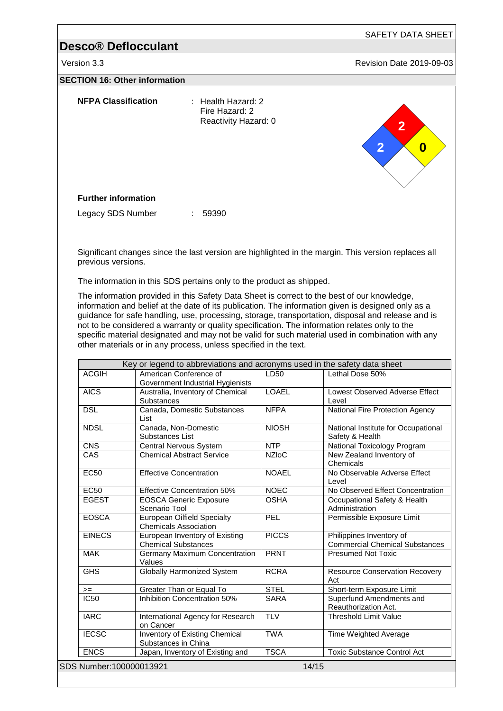Version 3.3 **All 2019-09-03** Revision Date 2019-09-03

### **SECTION 16: Other information**

| <b>NFPA Classification</b> | $:$ Health Hazard: 2<br>Fire Hazard: 2<br>Reactivity Hazard: 0 | $\overline{2}$<br>$\sim$<br>$\overline{2}$<br>$\boldsymbol{0}$ |
|----------------------------|----------------------------------------------------------------|----------------------------------------------------------------|
| <b>Further information</b> |                                                                |                                                                |
| Legacy SDS Number          | 59390<br>÷                                                     |                                                                |

Significant changes since the last version are highlighted in the margin. This version replaces all previous versions.

The information in this SDS pertains only to the product as shipped.

The information provided in this Safety Data Sheet is correct to the best of our knowledge, information and belief at the date of its publication. The information given is designed only as a guidance for safe handling, use, processing, storage, transportation, disposal and release and is not to be considered a warranty or quality specification. The information relates only to the specific material designated and may not be valid for such material used in combination with any other materials or in any process, unless specified in the text.

|                         | Key or legend to abbreviations and acronyms used in the safety data sheet |              |                                                                   |
|-------------------------|---------------------------------------------------------------------------|--------------|-------------------------------------------------------------------|
| <b>ACGIH</b>            | American Conference of<br>Government Industrial Hygienists                | LD50         | Lethal Dose 50%                                                   |
| <b>AICS</b>             | Australia, Inventory of Chemical<br><b>Substances</b>                     | <b>LOAEL</b> | Lowest Observed Adverse Effect<br>Level                           |
| <b>DSL</b>              | Canada, Domestic Substances<br>List                                       | <b>NFPA</b>  | National Fire Protection Agency                                   |
| <b>NDSL</b>             | Canada, Non-Domestic<br>Substances List                                   | <b>NIOSH</b> | National Institute for Occupational<br>Safety & Health            |
| <b>CNS</b>              | Central Nervous System                                                    | <b>NTP</b>   | National Toxicology Program                                       |
| CAS                     | <b>Chemical Abstract Service</b>                                          | <b>NZIoC</b> | New Zealand Inventory of<br>Chemicals                             |
| <b>EC50</b>             | <b>Effective Concentration</b>                                            | <b>NOAEL</b> | No Observable Adverse Effect<br>Level                             |
| <b>EC50</b>             | <b>Effective Concentration 50%</b>                                        | <b>NOEC</b>  | No Observed Effect Concentration                                  |
| <b>EGEST</b>            | <b>EOSCA Generic Exposure</b><br>Scenario Tool                            | <b>OSHA</b>  | Occupational Safety & Health<br>Administration                    |
| <b>EOSCA</b>            | <b>European Oilfield Specialty</b><br><b>Chemicals Association</b>        | PEL          | Permissible Exposure Limit                                        |
| <b>EINECS</b>           | European Inventory of Existing<br><b>Chemical Substances</b>              | <b>PICCS</b> | Philippines Inventory of<br><b>Commercial Chemical Substances</b> |
| <b>MAK</b>              | <b>Germany Maximum Concentration</b><br>Values                            | <b>PRNT</b>  | <b>Presumed Not Toxic</b>                                         |
| <b>GHS</b>              | <b>Globally Harmonized System</b>                                         | <b>RCRA</b>  | <b>Resource Conservation Recovery</b><br>Act                      |
| $>=$                    | Greater Than or Equal To                                                  | <b>STEL</b>  | Short-term Exposure Limit                                         |
| <b>IC50</b>             | Inhibition Concentration 50%                                              | <b>SARA</b>  | Superfund Amendments and<br>Reauthorization Act.                  |
| <b>IARC</b>             | International Agency for Research<br>on Cancer                            | <b>TLV</b>   | <b>Threshold Limit Value</b>                                      |
| <b>IECSC</b>            | Inventory of Existing Chemical<br>Substances in China                     | <b>TWA</b>   | Time Weighted Average                                             |
| <b>ENCS</b>             | Japan, Inventory of Existing and                                          | <b>TSCA</b>  | <b>Toxic Substance Control Act</b>                                |
| SDS Number:100000013921 |                                                                           |              | 14/15                                                             |